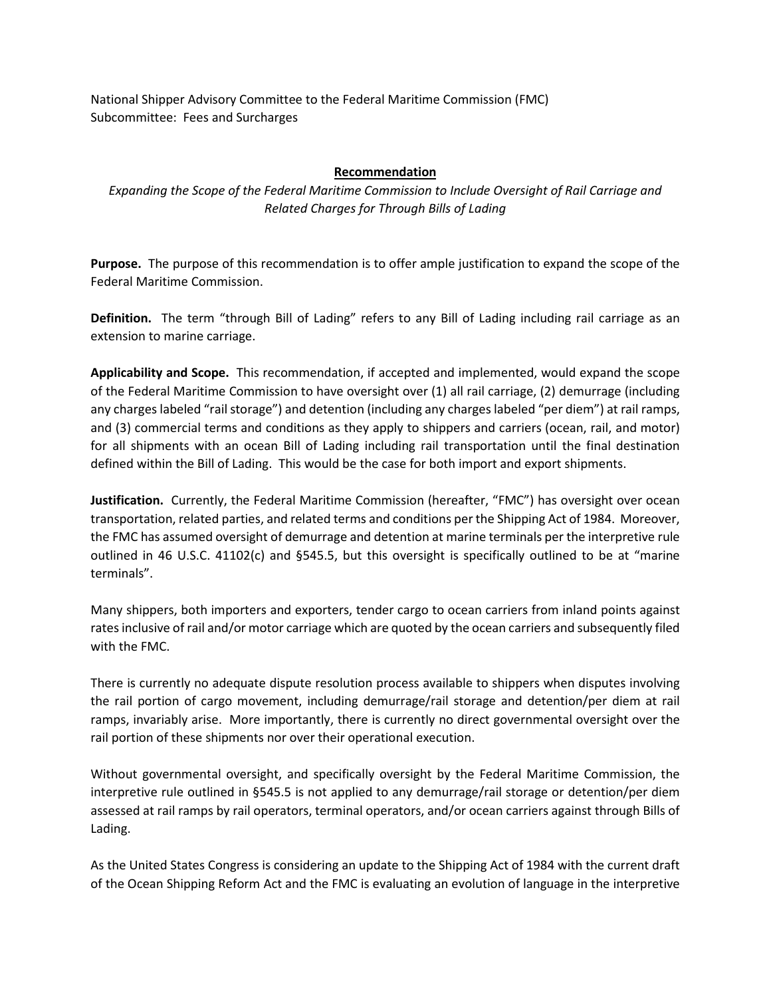National Shipper Advisory Committee to the Federal Maritime Commission (FMC) Subcommittee: Fees and Surcharges

## **Recommendation**

*Expanding the Scope of the Federal Maritime Commission to Include Oversight of Rail Carriage and Related Charges for Through Bills of Lading*

**Purpose.** The purpose of this recommendation is to offer ample justification to expand the scope of the Federal Maritime Commission.

**Definition.** The term "through Bill of Lading" refers to any Bill of Lading including rail carriage as an extension to marine carriage.

**Applicability and Scope.** This recommendation, if accepted and implemented, would expand the scope of the Federal Maritime Commission to have oversight over (1) all rail carriage, (2) demurrage (including any charges labeled "rail storage") and detention (including any charges labeled "per diem") at rail ramps, and (3) commercial terms and conditions as they apply to shippers and carriers (ocean, rail, and motor) for all shipments with an ocean Bill of Lading including rail transportation until the final destination defined within the Bill of Lading. This would be the case for both import and export shipments.

**Justification.** Currently, the Federal Maritime Commission (hereafter, "FMC") has oversight over ocean transportation, related parties, and related terms and conditions per the Shipping Act of 1984. Moreover, the FMC has assumed oversight of demurrage and detention at marine terminals per the interpretive rule outlined in 46 U.S.C. 41102(c) and §545.5, but this oversight is specifically outlined to be at "marine terminals".

Many shippers, both importers and exporters, tender cargo to ocean carriers from inland points against rates inclusive of rail and/or motor carriage which are quoted by the ocean carriers and subsequently filed with the FMC.

There is currently no adequate dispute resolution process available to shippers when disputes involving the rail portion of cargo movement, including demurrage/rail storage and detention/per diem at rail ramps, invariably arise. More importantly, there is currently no direct governmental oversight over the rail portion of these shipments nor over their operational execution.

Without governmental oversight, and specifically oversight by the Federal Maritime Commission, the interpretive rule outlined in §545.5 is not applied to any demurrage/rail storage or detention/per diem assessed at rail ramps by rail operators, terminal operators, and/or ocean carriers against through Bills of Lading.

As the United States Congress is considering an update to the Shipping Act of 1984 with the current draft of the Ocean Shipping Reform Act and the FMC is evaluating an evolution of language in the interpretive